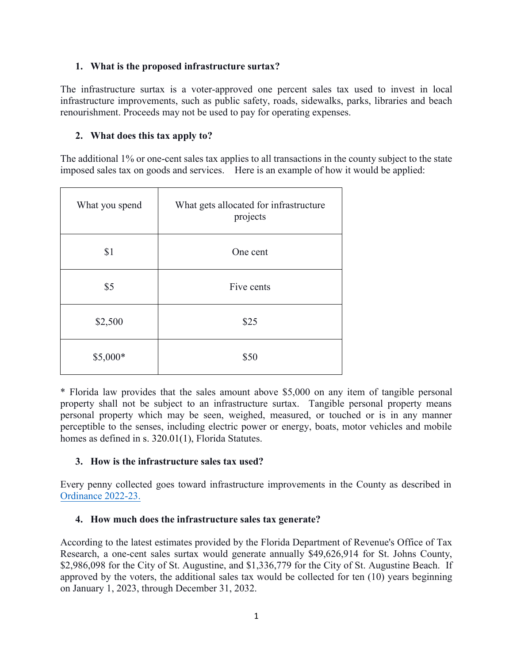### **1. What is the proposed infrastructure surtax?**

The infrastructure surtax is a voter-approved one percent sales tax used to invest in local infrastructure improvements, such as public safety, roads, sidewalks, parks, libraries and beach renourishment. Proceeds may not be used to pay for operating expenses.

### **2. What does this tax apply to?**

The additional 1% or one-cent sales tax applies to all transactions in the county subject to the state imposed sales tax on goods and services. Here is an example of how it would be applied:

| What you spend | What gets allocated for infrastructure<br>projects |
|----------------|----------------------------------------------------|
| \$1            | One cent                                           |
| \$5            | Five cents                                         |
| \$2,500        | \$25                                               |
| $$5,000*$      | \$50                                               |

\* Florida law provides that the sales amount above \$5,000 on any item of tangible personal property shall not be subject to an infrastructure surtax. Tangible personal property means personal property which may be seen, weighed, measured, or touched or is in any manner perceptible to the senses, including electric power or energy, boats, motor vehicles and mobile homes as defined in s. 320.01(1), Florida Statutes.

## **3. How is the infrastructure sales tax used?**

Every penny collected goes toward infrastructure improvements in the County as described in [Ordinance 2022-23.](http://www.sjcfl.us/media/Surtax-ORD2022-23.pdf)

## **4. How much does the infrastructure sales tax generate?**

According to the latest estimates provided by the Florida Department of Revenue's Office of Tax Research, a one-cent sales surtax would generate annually \$49,626,914 for St. Johns County, \$2,986,098 for the City of St. Augustine, and \$1,336,779 for the City of St. Augustine Beach. If approved by the voters, the additional sales tax would be collected for ten (10) years beginning on January 1, 2023, through December 31, 2032.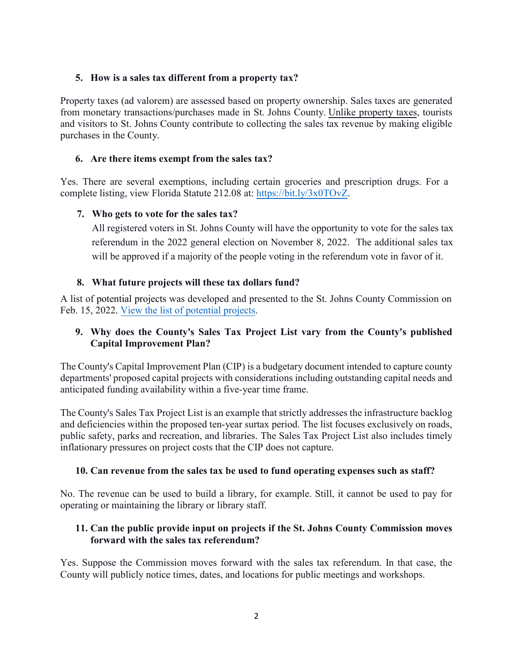## **5. How is a sales tax different from a property tax?**

Property taxes (ad valorem) are assessed based on property ownership. Sales taxes are generated from monetary transactions/purchases made in St. Johns County. Unlike property taxes, tourists and visitors to St. Johns County contribute to collecting the sales tax revenue by making eligible purchases in the County.

## **6. Are there items exempt from the sales tax?**

Yes. There are several exemptions, including certain groceries and prescription drugs. For a complete listing, view Florida Statute 212.08 at: [https://bit.ly/3x0TOvZ.](https://bit.ly/3x0TOvZ)

# **7. Who gets to vote for the sales tax?**

All registered voters in St. Johns County will have the opportunity to vote for the sales tax referendum in the 2022 general election on November 8, 2022. The additional sales tax will be approved if a majority of the people voting in the referendum vote in favor of it.

# **8. What future projects will these tax dollars fund?**

A list of potential projects was developed and presented to the St. Johns County Commission on Feb. 15, 2022. [View the list of potential projects.](http://www.sjcfl.us/media/Surtax-Potential-Projects-List.pdf)

# **9. Why does the County's Sales Tax Project List vary from the County's published Capital Improvement Plan?**

The County's Capital Improvement Plan (CIP) is a budgetary document intended to capture county departments' proposed capital projects with considerations including outstanding capital needs and anticipated funding availability within a five-year time frame.

The County's Sales Tax Project List is an example that strictly addresses the infrastructure backlog and deficiencies within the proposed ten-year surtax period. The list focuses exclusively on roads, public safety, parks and recreation, and libraries. The Sales Tax Project List also includes timely inflationary pressures on project costs that the CIP does not capture.

## **10. Can revenue from the sales tax be used to fund operating expenses such as staff?**

No. The revenue can be used to build a library, for example. Still, it cannot be used to pay for operating or maintaining the library or library staff.

## **11. Can the public provide input on projects if the St. Johns County Commission moves forward with the sales tax referendum?**

Yes. Suppose the Commission moves forward with the sales tax referendum. In that case, the County will publicly notice times, dates, and locations for public meetings and workshops.